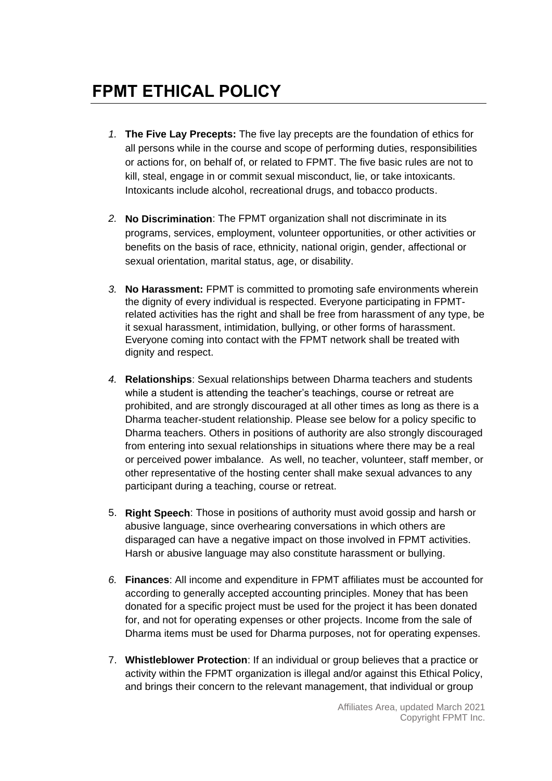## **FPMT ETHICAL POLICY**

- *1.* **The Five Lay Precepts:** The five lay precepts are the foundation of ethics for all persons while in the course and scope of performing duties, responsibilities or actions for, on behalf of, or related to FPMT. The five basic rules are not to kill, steal, engage in or commit sexual misconduct, lie, or take intoxicants. Intoxicants include alcohol, recreational drugs, and tobacco products.
- *2.* **No Discrimination**: The FPMT organization shall not discriminate in its programs, services, employment, volunteer opportunities, or other activities or benefits on the basis of race, ethnicity, national origin, gender, affectional or sexual orientation, marital status, age, or disability.
- *3.* **No Harassment:** FPMT is committed to promoting safe environments wherein the dignity of every individual is respected. Everyone participating in FPMTrelated activities has the right and shall be free from harassment of any type, be it sexual harassment, intimidation, bullying, or other forms of harassment. Everyone coming into contact with the FPMT network shall be treated with dignity and respect.
- *4.* **Relationships**: Sexual relationships between Dharma teachers and students while a student is attending the teacher's teachings, course or retreat are prohibited, and are strongly discouraged at all other times as long as there is a Dharma teacher-student relationship. Please see below for a policy specific to Dharma teachers. Others in positions of authority are also strongly discouraged from entering into sexual relationships in situations where there may be a real or perceived power imbalance. As well, no teacher, volunteer, staff member, or other representative of the hosting center shall make sexual advances to any participant during a teaching, course or retreat.
- 5. **Right Speech**: Those in positions of authority must avoid gossip and harsh or abusive language, since overhearing conversations in which others are disparaged can have a negative impact on those involved in FPMT activities. Harsh or abusive language may also constitute harassment or bullying.
- *6.* **Finances**: All income and expenditure in FPMT affiliates must be accounted for according to generally accepted accounting principles. Money that has been donated for a specific project must be used for the project it has been donated for, and not for operating expenses or other projects. Income from the sale of Dharma items must be used for Dharma purposes, not for operating expenses.
- 7. **Whistleblower Protection**: If an individual or group believes that a practice or activity within the FPMT organization is illegal and/or against this Ethical Policy, and brings their concern to the relevant management, that individual or group